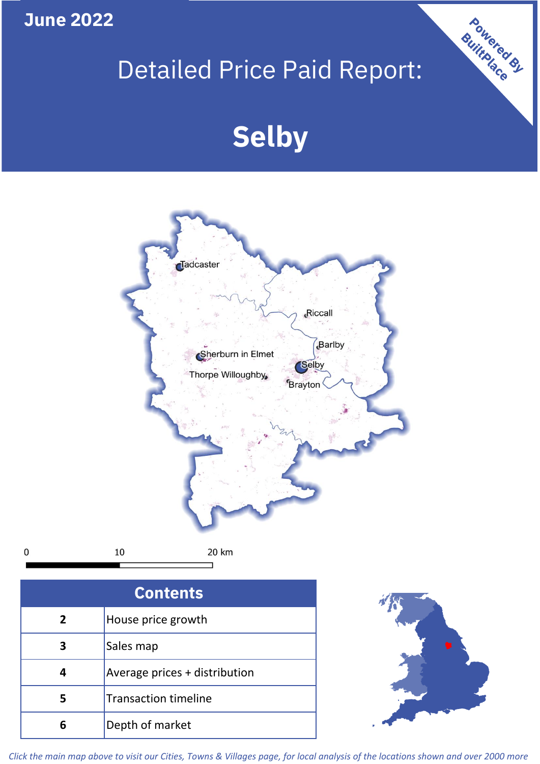**June 2022**

 $\pmb{0}$ 

## Detailed Price Paid Report:

# **Selby**



| <b>Contents</b> |                               |  |  |
|-----------------|-------------------------------|--|--|
| $\overline{2}$  | House price growth            |  |  |
| 3               | Sales map                     |  |  |
|                 | Average prices + distribution |  |  |
| 5               | <b>Transaction timeline</b>   |  |  |
|                 | Depth of market               |  |  |



Powered By

*Click the main map above to visit our Cities, Towns & Villages page, for local analysis of the locations shown and over 2000 more*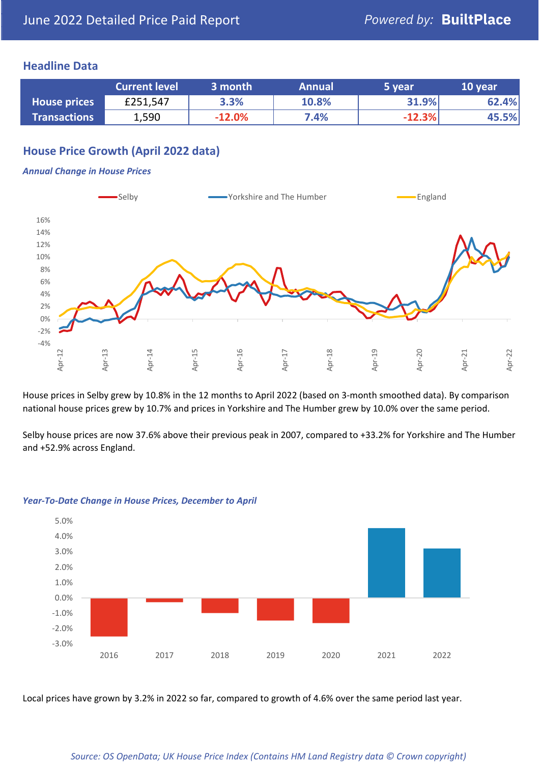### **Headline Data**

|                     | <b>Current level</b> | 3 month  | <b>Annual</b> | 5 year       | 10 year |
|---------------------|----------------------|----------|---------------|--------------|---------|
| <b>House prices</b> | £251,547             | 3.3%     | 10.8%         | <b>31.9%</b> | 62.4%   |
| <b>Transactions</b> | 1,590                | $-12.0%$ | 7.4%          | $-12.3%$     | 45.5%   |

## **House Price Growth (April 2022 data)**

#### *Annual Change in House Prices*



House prices in Selby grew by 10.8% in the 12 months to April 2022 (based on 3-month smoothed data). By comparison national house prices grew by 10.7% and prices in Yorkshire and The Humber grew by 10.0% over the same period.

Selby house prices are now 37.6% above their previous peak in 2007, compared to +33.2% for Yorkshire and The Humber and +52.9% across England.



#### *Year-To-Date Change in House Prices, December to April*

Local prices have grown by 3.2% in 2022 so far, compared to growth of 4.6% over the same period last year.

#### *Source: OS OpenData; UK House Price Index (Contains HM Land Registry data © Crown copyright)*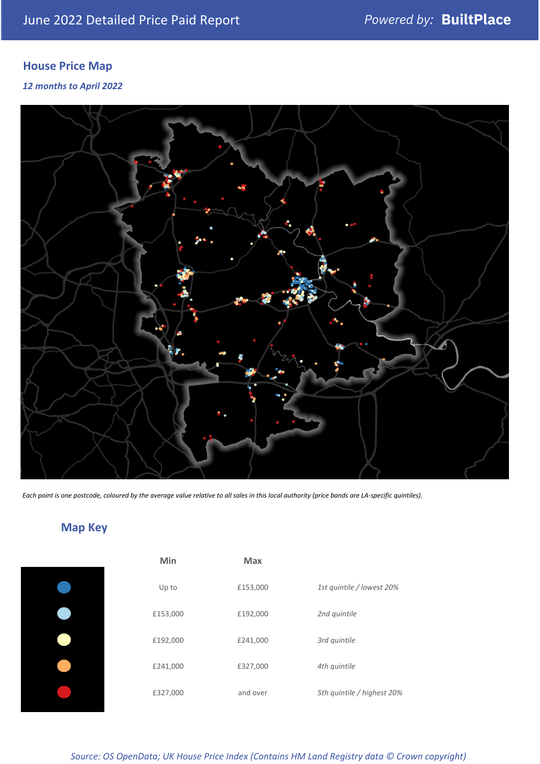## **House Price Map**

*12 months to April 2022*



*Each point is one postcode, coloured by the average value relative to all sales in this local authority (price bands are LA-specific quintiles).*

## **Map Key**

| Min      | <b>Max</b> |                            |
|----------|------------|----------------------------|
| Up to    | £153,000   | 1st quintile / lowest 20%  |
| £153,000 | £192,000   | 2nd quintile               |
| £192,000 | £241,000   | 3rd quintile               |
| £241,000 | £327,000   | 4th quintile               |
| £327,000 | and over   | 5th quintile / highest 20% |

*Source: OS OpenData; UK House Price Index (Contains HM Land Registry data © Crown copyright)*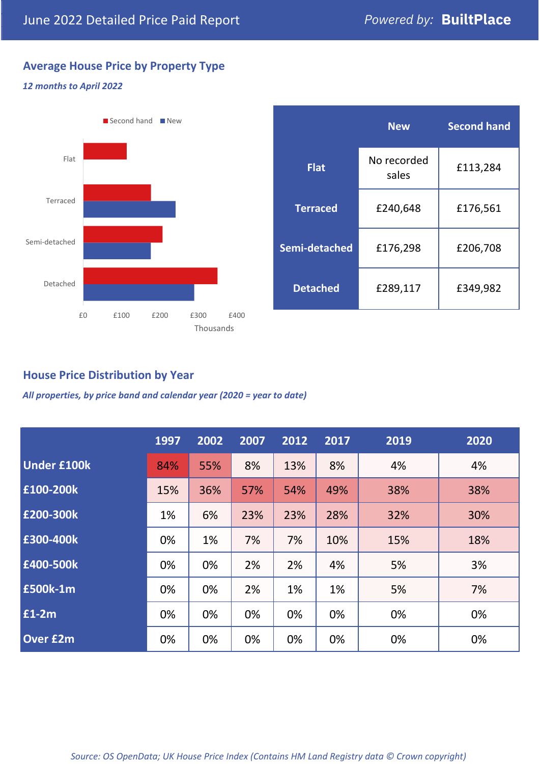## **Average House Price by Property Type**

## *12 months to April 2022*



|                 | <b>New</b>           | <b>Second hand</b> |  |  |
|-----------------|----------------------|--------------------|--|--|
| <b>Flat</b>     | No recorded<br>sales | £113,284           |  |  |
| <b>Terraced</b> | £240,648             | £176,561           |  |  |
| Semi-detached   | £176,298             | £206,708           |  |  |
| <b>Detached</b> | £289,117             | £349,982           |  |  |

## **House Price Distribution by Year**

*All properties, by price band and calendar year (2020 = year to date)*

|                    | 1997 | 2002 | 2007 | 2012 | 2017 | 2019 | 2020 |
|--------------------|------|------|------|------|------|------|------|
| <b>Under £100k</b> | 84%  | 55%  | 8%   | 13%  | 8%   | 4%   | 4%   |
| £100-200k          | 15%  | 36%  | 57%  | 54%  | 49%  | 38%  | 38%  |
| E200-300k          | 1%   | 6%   | 23%  | 23%  | 28%  | 32%  | 30%  |
| £300-400k          | 0%   | 1%   | 7%   | 7%   | 10%  | 15%  | 18%  |
| £400-500k          | 0%   | 0%   | 2%   | 2%   | 4%   | 5%   | 3%   |
| <b>£500k-1m</b>    | 0%   | 0%   | 2%   | 1%   | 1%   | 5%   | 7%   |
| £1-2m              | 0%   | 0%   | 0%   | 0%   | 0%   | 0%   | 0%   |
| <b>Over £2m</b>    | 0%   | 0%   | 0%   | 0%   | 0%   | 0%   | 0%   |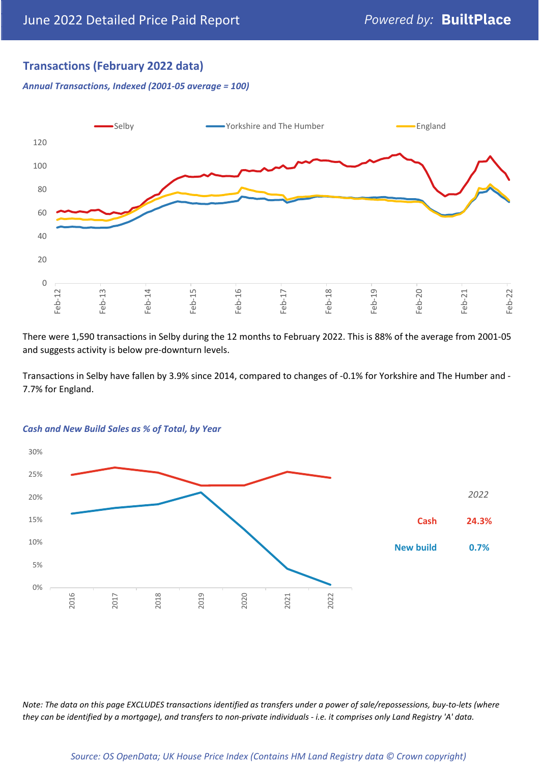## **Transactions (February 2022 data)**

*Annual Transactions, Indexed (2001-05 average = 100)*



There were 1,590 transactions in Selby during the 12 months to February 2022. This is 88% of the average from 2001-05 and suggests activity is below pre-downturn levels.

Transactions in Selby have fallen by 3.9% since 2014, compared to changes of -0.1% for Yorkshire and The Humber and - 7.7% for England.



#### *Cash and New Build Sales as % of Total, by Year*

*Note: The data on this page EXCLUDES transactions identified as transfers under a power of sale/repossessions, buy-to-lets (where they can be identified by a mortgage), and transfers to non-private individuals - i.e. it comprises only Land Registry 'A' data.*